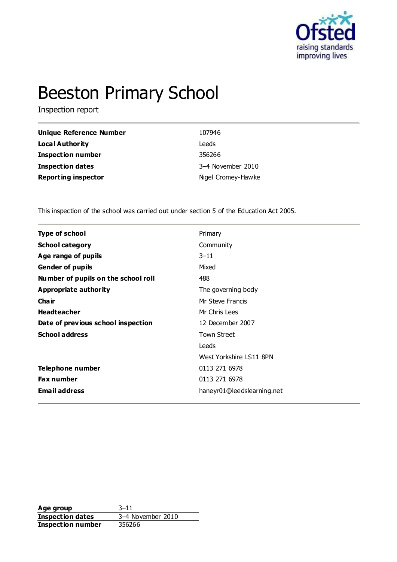

# Beeston Primary School

Inspection report

| <b>Unique Reference Number</b> | 107946             |
|--------------------------------|--------------------|
| <b>Local Authority</b>         | Leeds              |
| <b>Inspection number</b>       | 356266             |
| <b>Inspection dates</b>        | 3-4 November 2010  |
| <b>Reporting inspector</b>     | Nigel Cromey-Hawke |

This inspection of the school was carried out under section 5 of the Education Act 2005.

| <b>Type of school</b>               | Primary                    |  |
|-------------------------------------|----------------------------|--|
| <b>School category</b>              | Community                  |  |
| Age range of pupils                 | $3 - 11$                   |  |
| <b>Gender of pupils</b>             | Mixed                      |  |
| Number of pupils on the school roll | 488                        |  |
| Appropriate authority               | The governing body         |  |
| Cha ir                              | Mr Steve Francis           |  |
| <b>Headteacher</b>                  | Mr Chris Lees              |  |
| Date of previous school inspection  | 12 December 2007           |  |
| <b>School address</b>               | <b>Town Street</b>         |  |
|                                     | Leeds                      |  |
|                                     | West Yorkshire LS11 8PN    |  |
| Telephone number                    | 0113 271 6978              |  |
| <b>Fax number</b>                   | 0113 271 6978              |  |
| <b>Email address</b>                | haneyr01@leedslearning.net |  |
|                                     |                            |  |

**Age group** 3–11 **Inspection dates** 3–4 November 2010<br> **Inspection number** 356266 **Inspection number**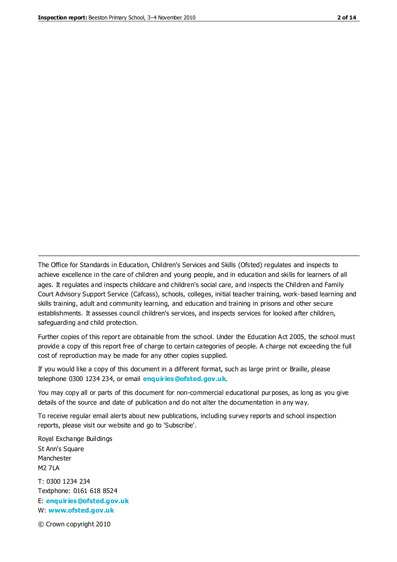The Office for Standards in Education, Children's Services and Skills (Ofsted) regulates and inspects to achieve excellence in the care of children and young people, and in education and skills for learners of all ages. It regulates and inspects childcare and children's social care, and inspects the Children and Family Court Advisory Support Service (Cafcass), schools, colleges, initial teacher training, work-based learning and skills training, adult and community learning, and education and training in prisons and other secure establishments. It assesses council children's services, and inspects services for looked after children, safeguarding and child protection.

Further copies of this report are obtainable from the school. Under the Education Act 2005, the school must provide a copy of this report free of charge to certain categories of people. A charge not exceeding the full cost of reproduction may be made for any other copies supplied.

If you would like a copy of this document in a different format, such as large print or Braille, please telephone 0300 1234 234, or email **[enquiries@ofsted.gov.uk](mailto:enquiries@ofsted.gov.uk)**.

You may copy all or parts of this document for non-commercial educational purposes, as long as you give details of the source and date of publication and do not alter the documentation in any way.

To receive regular email alerts about new publications, including survey reports and school inspection reports, please visit our website and go to 'Subscribe'.

Royal Exchange Buildings St Ann's Square Manchester M2 7LA T: 0300 1234 234 Textphone: 0161 618 8524 E: **[enquiries@ofsted.gov.uk](mailto:enquiries@ofsted.gov.uk)**

W: **[www.ofsted.gov.uk](http://www.ofsted.gov.uk/)**

© Crown copyright 2010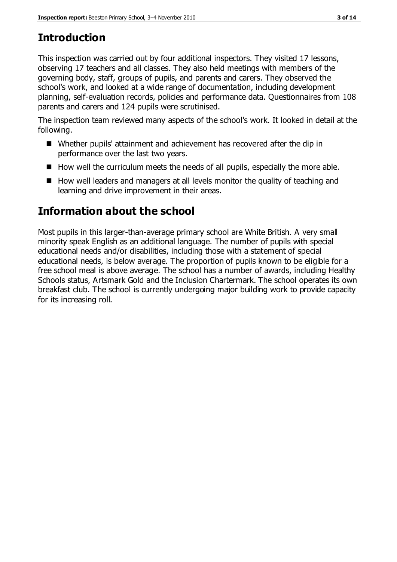# **Introduction**

This inspection was carried out by four additional inspectors. They visited 17 lessons, observing 17 teachers and all classes. They also held meetings with members of the governing body, staff, groups of pupils, and parents and carers. They observed the school's work, and looked at a wide range of documentation, including development planning, self-evaluation records, policies and performance data. Questionnaires from 108 parents and carers and 124 pupils were scrutinised.

The inspection team reviewed many aspects of the school's work. It looked in detail at the following.

- Whether pupils' attainment and achievement has recovered after the dip in performance over the last two years.
- $\blacksquare$  How well the curriculum meets the needs of all pupils, especially the more able.
- $\blacksquare$  How well leaders and managers at all levels monitor the quality of teaching and learning and drive improvement in their areas.

# **Information about the school**

Most pupils in this larger-than-average primary school are White British. A very small minority speak English as an additional language. The number of pupils with special educational needs and/or disabilities, including those with a statement of special educational needs, is below average. The proportion of pupils known to be eligible for a free school meal is above average. The school has a number of awards, including Healthy Schools status, Artsmark Gold and the Inclusion Chartermark. The school operates its own breakfast club. The school is currently undergoing major building work to provide capacity for its increasing roll.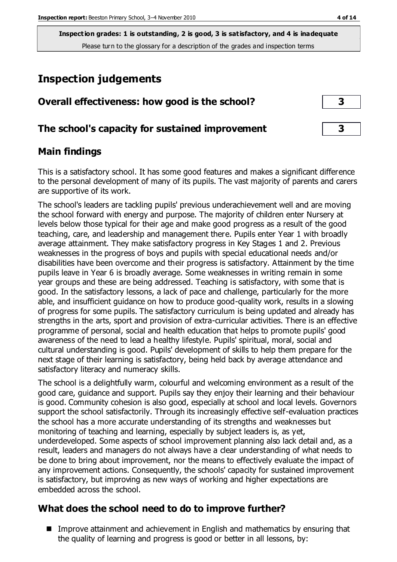**Inspection grades: 1 is outstanding, 2 is good, 3 is satisfactory, and 4 is inadequate** Please turn to the glossary for a description of the grades and inspection terms

# **Inspection judgements**

#### **The school's capacity for sustained improvement 3**

#### **Main findings**

This is a satisfactory school. It has some good features and makes a significant difference to the personal development of many of its pupils. The vast majority of parents and carers are supportive of its work.

The school's leaders are tackling pupils' previous underachievement well and are moving the school forward with energy and purpose. The majority of children enter Nursery at levels below those typical for their age and make good progress as a result of the good teaching, care, and leadership and management there. Pupils enter Year 1 with broadly average attainment. They make satisfactory progress in Key Stages 1 and 2. Previous weaknesses in the progress of boys and pupils with special educational needs and/or disabilities have been overcome and their progress is satisfactory. Attainment by the time pupils leave in Year 6 is broadly average. Some weaknesses in writing remain in some year groups and these are being addressed. Teaching is satisfactory, with some that is good. In the satisfactory lessons, a lack of pace and challenge, particularly for the more able, and insufficient guidance on how to produce good-quality work, results in a slowing of progress for some pupils. The satisfactory curriculum is being updated and already has strengths in the arts, sport and provision of extra-curricular activities. There is an effective programme of personal, social and health education that helps to promote pupils' good awareness of the need to lead a healthy lifestyle. Pupils' spiritual, moral, social and cultural understanding is good. Pupils' development of skills to help them prepare for the next stage of their learning is satisfactory, being held back by average attendance and satisfactory literacy and numeracy skills.

The school is a delightfully warm, colourful and welcoming environment as a result of the good care, guidance and support. Pupils say they enjoy their learning and their behaviour is good. Community cohesion is also good, especially at school and local levels. Governors support the school satisfactorily. Through its increasingly effective self-evaluation practices the school has a more accurate understanding of its strengths and weaknesses but monitoring of teaching and learning, especially by subject leaders is, as yet, underdeveloped. Some aspects of school improvement planning also lack detail and, as a result, leaders and managers do not always have a clear understanding of what needs to be done to bring about improvement, nor the means to effectively evaluate the impact of any improvement actions. Consequently, the schools' capacity for sustained improvement is satisfactory, but improving as new ways of working and higher expectations are embedded across the school.

#### **What does the school need to do to improve further?**

■ Improve attainment and achievement in English and mathematics by ensuring that the quality of learning and progress is good or better in all lessons, by: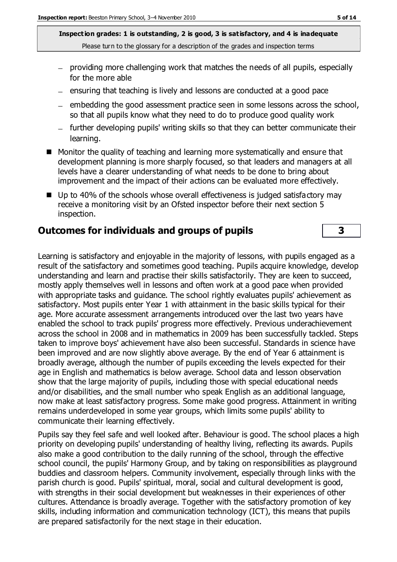**Inspection grades: 1 is outstanding, 2 is good, 3 is satisfactory, and 4 is inadequate** Please turn to the glossary for a description of the grades and inspection terms

- providing more challenging work that matches the needs of all pupils, especially for the more able
- $-$  ensuring that teaching is lively and lessons are conducted at a good pace
- embedding the good assessment practice seen in some lessons across the school, so that all pupils know what they need to do to produce good quality work
- further developing pupils' writing skills so that they can better communicate their learning.
- Monitor the quality of teaching and learning more systematically and ensure that development planning is more sharply focused, so that leaders and managers at all levels have a clearer understanding of what needs to be done to bring about improvement and the impact of their actions can be evaluated more effectively.
- $\blacksquare$  Up to 40% of the schools whose overall effectiveness is judged satisfactory may receive a monitoring visit by an Ofsted inspector before their next section 5 inspection.

#### **Outcomes for individuals and groups of pupils 3**

Learning is satisfactory and enjoyable in the majority of lessons, with pupils engaged as a result of the satisfactory and sometimes good teaching. Pupils acquire knowledge, develop understanding and learn and practise their skills satisfactorily. They are keen to succeed, mostly apply themselves well in lessons and often work at a good pace when provided with appropriate tasks and guidance. The school rightly evaluates pupils' achievement as satisfactory. Most pupils enter Year 1 with attainment in the basic skills typical for their age. More accurate assessment arrangements introduced over the last two years have enabled the school to track pupils' progress more effectively. Previous underachievement across the school in 2008 and in mathematics in 2009 has been successfully tackled. Steps taken to improve boys' achievement have also been successful. Standards in science have been improved and are now slightly above average. By the end of Year 6 attainment is broadly average, although the number of pupils exceeding the levels expected for their age in English and mathematics is below average. School data and lesson observation show that the large majority of pupils, including those with special educational needs and/or disabilities, and the small number who speak English as an additional language, now make at least satisfactory progress. Some make good progress. Attainment in writing remains underdeveloped in some year groups, which limits some pupils' ability to communicate their learning effectively.

Pupils say they feel safe and well looked after. Behaviour is good. The school places a high priority on developing pupils' understanding of healthy living, reflecting its awards. Pupils also make a good contribution to the daily running of the school, through the effective school council, the pupils' Harmony Group, and by taking on responsibilities as playground buddies and classroom helpers. Community involvement, especially through links with the parish church is good. Pupils' spiritual, moral, social and cultural development is good, with strengths in their social development but weaknesses in their experiences of other cultures. Attendance is broadly average. Together with the satisfactory promotion of key skills, including information and communication technology (ICT), this means that pupils are prepared satisfactorily for the next stage in their education.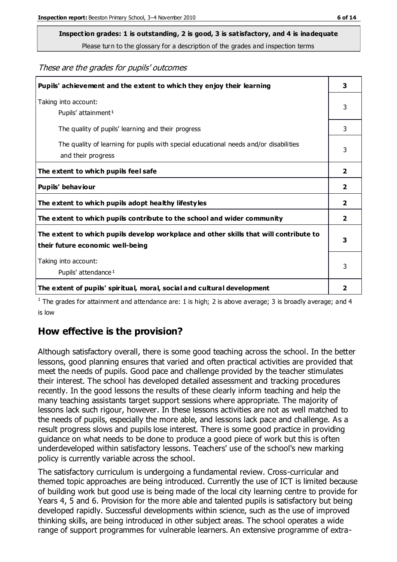# **Inspection grades: 1 is outstanding, 2 is good, 3 is satisfactory, and 4 is inadequate**

Please turn to the glossary for a description of the grades and inspection terms

These are the grades for pupils' outcomes

| Pupils' achievement and the extent to which they enjoy their learning                                                     | 3                       |
|---------------------------------------------------------------------------------------------------------------------------|-------------------------|
| Taking into account:<br>Pupils' attainment <sup>1</sup>                                                                   | 3                       |
| The quality of pupils' learning and their progress                                                                        | 3                       |
| The quality of learning for pupils with special educational needs and/or disabilities<br>and their progress               | 3                       |
| The extent to which pupils feel safe                                                                                      | $\overline{\mathbf{2}}$ |
| Pupils' behaviour                                                                                                         | 2                       |
| The extent to which pupils adopt healthy lifestyles                                                                       | 2                       |
| The extent to which pupils contribute to the school and wider community                                                   | $\overline{2}$          |
| The extent to which pupils develop workplace and other skills that will contribute to<br>their future economic well-being |                         |
| Taking into account:<br>Pupils' attendance <sup>1</sup>                                                                   | 3                       |
| The extent of pupils' spiritual, moral, social and cultural development                                                   | 2                       |

<sup>1</sup> The grades for attainment and attendance are: 1 is high; 2 is above average; 3 is broadly average; and 4 is low

#### **How effective is the provision?**

Although satisfactory overall, there is some good teaching across the school. In the better lessons, good planning ensures that varied and often practical activities are provided that meet the needs of pupils. Good pace and challenge provided by the teacher stimulates their interest. The school has developed detailed assessment and tracking procedures recently. In the good lessons the results of these clearly inform teaching and help the many teaching assistants target support sessions where appropriate. The majority of lessons lack such rigour, however. In these lessons activities are not as well matched to the needs of pupils, especially the more able, and lessons lack pace and challenge. As a result progress slows and pupils lose interest. There is some good practice in providing guidance on what needs to be done to produce a good piece of work but this is often underdeveloped within satisfactory lessons. Teachers' use of the school's new marking policy is currently variable across the school.

The satisfactory curriculum is undergoing a fundamental review. Cross-curricular and themed topic approaches are being introduced. Currently the use of ICT is limited because of building work but good use is being made of the local city learning centre to provide for Years 4, 5 and 6. Provision for the more able and talented pupils is satisfactory but being developed rapidly. Successful developments within science, such as the use of improved thinking skills, are being introduced in other subject areas. The school operates a wide range of support programmes for vulnerable learners. An extensive programme of extra-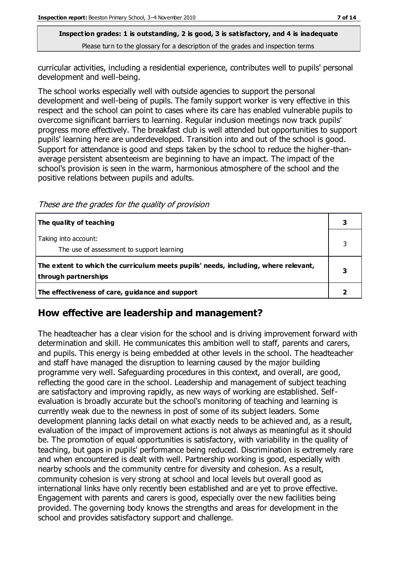#### **Inspection grades: 1 is outstanding, 2 is good, 3 is satisfactory, and 4 is inadequate** Please turn to the glossary for a description of the grades and inspection terms

curricular activities, including a residential experience, contributes well to pupils' personal development and well-being.

The school works especially well with outside agencies to support the personal development and well-being of pupils. The family support worker is very effective in this respect and the school can point to cases where its care has enabled vulnerable pupils to overcome significant barriers to learning. Regular inclusion meetings now track pupils' progress more effectively. The breakfast club is well attended but opportunities to support pupils' learning here are underdeveloped. Transition into and out of the school is good. Support for attendance is good and steps taken by the school to reduce the higher-thanaverage persistent absenteeism are beginning to have an impact. The impact of the school's provision is seen in the warm, harmonious atmosphere of the school and the positive relations between pupils and adults.

These are the grades for the quality of provision

| The quality of teaching                                                                                    |  |
|------------------------------------------------------------------------------------------------------------|--|
| Taking into account:<br>The use of assessment to support learning                                          |  |
| The extent to which the curriculum meets pupils' needs, including, where relevant,<br>through partnerships |  |
| The effectiveness of care, guidance and support                                                            |  |

#### **How effective are leadership and management?**

The headteacher has a clear vision for the school and is driving improvement forward with determination and skill. He communicates this ambition well to staff, parents and carers, and pupils. This energy is being embedded at other levels in the school. The headteacher and staff have managed the disruption to learning caused by the major building programme very well. Safeguarding procedures in this context, and overall, are good, reflecting the good care in the school. Leadership and management of subject teaching are satisfactory and improving rapidly, as new ways of working are established. Selfevaluation is broadly accurate but the school's monitoring of teaching and learning is currently weak due to the newness in post of some of its subject leaders. Some development planning lacks detail on what exactly needs to be achieved and, as a result, evaluation of the impact of improvement actions is not always as meaningful as it should be. The promotion of equal opportunities is satisfactory, with variability in the quality of teaching, but gaps in pupils' performance being reduced. Discrimination is extremely rare and when encountered is dealt with well. Partnership working is good, especially with nearby schools and the community centre for diversity and cohesion. As a result, community cohesion is very strong at school and local levels but overall good as international links have only recently been established and are yet to prove effective. Engagement with parents and carers is good, especially over the new facilities being provided. The governing body knows the strengths and areas for development in the school and provides satisfactory support and challenge.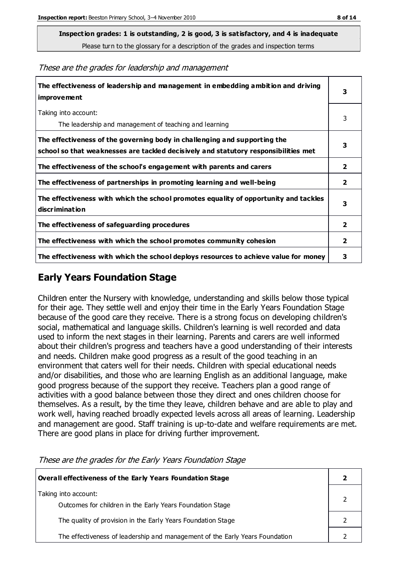**Inspection grades: 1 is outstanding, 2 is good, 3 is satisfactory, and 4 is inadequate**

Please turn to the glossary for a description of the grades and inspection terms

These are the grades for leadership and management

| The effectiveness of leadership and management in embedding ambition and driving<br>improvement                                                                  | 3                       |
|------------------------------------------------------------------------------------------------------------------------------------------------------------------|-------------------------|
| Taking into account:<br>The leadership and management of teaching and learning                                                                                   | 3                       |
| The effectiveness of the governing body in challenging and supporting the<br>school so that weaknesses are tackled decisively and statutory responsibilities met | 3                       |
| The effectiveness of the school's engagement with parents and carers                                                                                             | 2                       |
| The effectiveness of partnerships in promoting learning and well-being                                                                                           | $\overline{\mathbf{2}}$ |
| The effectiveness with which the school promotes equality of opportunity and tackles<br>discrimination                                                           | 3                       |
| The effectiveness of safeguarding procedures                                                                                                                     | 2                       |
| The effectiveness with which the school promotes community cohesion                                                                                              | $\overline{2}$          |
| The effectiveness with which the school deploys resources to achieve value for money                                                                             | 3                       |

#### **Early Years Foundation Stage**

Children enter the Nursery with knowledge, understanding and skills below those typical for their age. They settle well and enjoy their time in the Early Years Foundation Stage because of the good care they receive. There is a strong focus on developing children's social, mathematical and language skills. Children's learning is well recorded and data used to inform the next stages in their learning. Parents and carers are well informed about their children's progress and teachers have a good understanding of their interests and needs. Children make good progress as a result of the good teaching in an environment that caters well for their needs. Children with special educational needs and/or disabilities, and those who are learning English as an additional language, make good progress because of the support they receive. Teachers plan a good range of activities with a good balance between those they direct and ones children choose for themselves. As a result, by the time they leave, children behave and are able to play and work well, having reached broadly expected levels across all areas of learning. Leadership and management are good. Staff training is up-to-date and welfare requirements are met. There are good plans in place for driving further improvement.

**Overall effectiveness of the Early Years Foundation Stage 2** Taking into account: Outcomes for children in the Early Years Foundation Stage 2 The quality of provision in the Early Years Foundation Stage **2** 2 The effectiveness of leadership and management of the Early Years Foundation 2

These are the grades for the Early Years Foundation Stage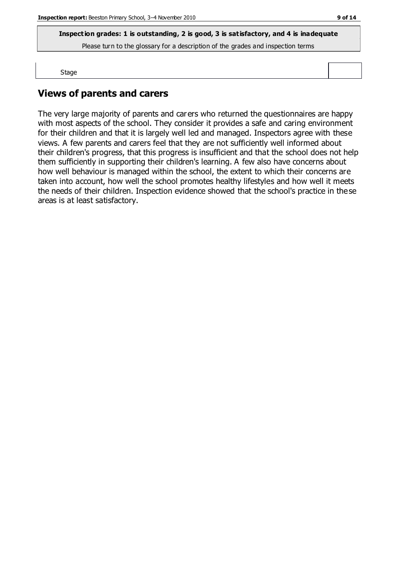**Inspection grades: 1 is outstanding, 2 is good, 3 is satisfactory, and 4 is inadequate**

Please turn to the glossary for a description of the grades and inspection terms

Stage

#### **Views of parents and carers**

The very large majority of parents and carers who returned the questionnaires are happy with most aspects of the school. They consider it provides a safe and caring environment for their children and that it is largely well led and managed. Inspectors agree with these views. A few parents and carers feel that they are not sufficiently well informed about their children's progress, that this progress is insufficient and that the school does not help them sufficiently in supporting their children's learning. A few also have concerns about how well behaviour is managed within the school, the extent to which their concerns are taken into account, how well the school promotes healthy lifestyles and how well it meets the needs of their children. Inspection evidence showed that the school's practice in these areas is at least satisfactory.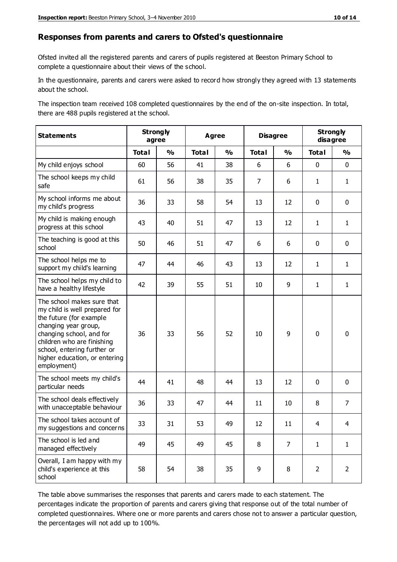#### **Responses from parents and carers to Ofsted's questionnaire**

Ofsted invited all the registered parents and carers of pupils registered at Beeston Primary School to complete a questionnaire about their views of the school.

In the questionnaire, parents and carers were asked to record how strongly they agreed with 13 statements about the school.

The inspection team received 108 completed questionnaires by the end of the on-site inspection. In total, there are 488 pupils registered at the school.

| <b>Statements</b>                                                                                                                                                                                                                                       | <b>Strongly</b><br>agree |               | Agree        |               | <b>Disagree</b> |                | <b>Strongly</b><br>disagree |                |
|---------------------------------------------------------------------------------------------------------------------------------------------------------------------------------------------------------------------------------------------------------|--------------------------|---------------|--------------|---------------|-----------------|----------------|-----------------------------|----------------|
|                                                                                                                                                                                                                                                         | <b>Total</b>             | $\frac{1}{2}$ | <b>Total</b> | $\frac{1}{2}$ | <b>Total</b>    | $\frac{0}{0}$  | <b>Total</b>                | $\frac{0}{0}$  |
| My child enjoys school                                                                                                                                                                                                                                  | 60                       | 56            | 41           | 38            | 6               | 6              | $\mathbf 0$                 | $\mathbf 0$    |
| The school keeps my child<br>safe                                                                                                                                                                                                                       | 61                       | 56            | 38           | 35            | $\overline{7}$  | 6              | $\mathbf{1}$                | $\mathbf{1}$   |
| My school informs me about<br>my child's progress                                                                                                                                                                                                       | 36                       | 33            | 58           | 54            | 13              | 12             | $\mathbf 0$                 | $\mathbf 0$    |
| My child is making enough<br>progress at this school                                                                                                                                                                                                    | 43                       | 40            | 51           | 47            | 13              | 12             | $\mathbf{1}$                | $\mathbf{1}$   |
| The teaching is good at this<br>school                                                                                                                                                                                                                  | 50                       | 46            | 51           | 47            | 6               | 6              | 0                           | $\mathbf 0$    |
| The school helps me to<br>support my child's learning                                                                                                                                                                                                   | 47                       | 44            | 46           | 43            | 13              | 12             | $\mathbf{1}$                | $\mathbf{1}$   |
| The school helps my child to<br>have a healthy lifestyle                                                                                                                                                                                                | 42                       | 39            | 55           | 51            | 10              | 9              | $\mathbf{1}$                | $\mathbf{1}$   |
| The school makes sure that<br>my child is well prepared for<br>the future (for example<br>changing year group,<br>changing school, and for<br>children who are finishing<br>school, entering further or<br>higher education, or entering<br>employment) | 36                       | 33            | 56           | 52            | 10              | 9              | $\mathbf 0$                 | $\mathbf 0$    |
| The school meets my child's<br>particular needs                                                                                                                                                                                                         | 44                       | 41            | 48           | 44            | 13              | 12             | $\mathbf 0$                 | $\mathbf 0$    |
| The school deals effectively<br>with unacceptable behaviour                                                                                                                                                                                             | 36                       | 33            | 47           | 44            | 11              | 10             | 8                           | $\overline{7}$ |
| The school takes account of<br>my suggestions and concerns                                                                                                                                                                                              | 33                       | 31            | 53           | 49            | 12              | 11             | 4                           | 4              |
| The school is led and<br>managed effectively                                                                                                                                                                                                            | 49                       | 45            | 49           | 45            | 8               | $\overline{7}$ | $\mathbf{1}$                | $\mathbf{1}$   |
| Overall, I am happy with my<br>child's experience at this<br>school                                                                                                                                                                                     | 58                       | 54            | 38           | 35            | 9               | 8              | $\overline{2}$              | $\overline{2}$ |

The table above summarises the responses that parents and carers made to each statement. The percentages indicate the proportion of parents and carers giving that response out of the total number of completed questionnaires. Where one or more parents and carers chose not to answer a particular question, the percentages will not add up to 100%.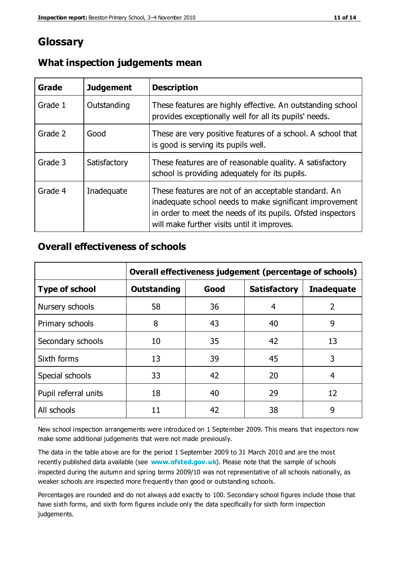### **Glossary**

| Grade   | <b>Judgement</b> | <b>Description</b>                                                                                                                                                                                                            |
|---------|------------------|-------------------------------------------------------------------------------------------------------------------------------------------------------------------------------------------------------------------------------|
| Grade 1 | Outstanding      | These features are highly effective. An outstanding school<br>provides exceptionally well for all its pupils' needs.                                                                                                          |
| Grade 2 | Good             | These are very positive features of a school. A school that<br>is good is serving its pupils well.                                                                                                                            |
| Grade 3 | Satisfactory     | These features are of reasonable quality. A satisfactory<br>school is providing adequately for its pupils.                                                                                                                    |
| Grade 4 | Inadequate       | These features are not of an acceptable standard. An<br>inadequate school needs to make significant improvement<br>in order to meet the needs of its pupils. Ofsted inspectors<br>will make further visits until it improves. |

#### **What inspection judgements mean**

#### **Overall effectiveness of schools**

|                       | Overall effectiveness judgement (percentage of schools) |      |                     |                   |
|-----------------------|---------------------------------------------------------|------|---------------------|-------------------|
| <b>Type of school</b> | <b>Outstanding</b>                                      | Good | <b>Satisfactory</b> | <b>Inadequate</b> |
| Nursery schools       | 58                                                      | 36   | 4                   | 2                 |
| Primary schools       | 8                                                       | 43   | 40                  | 9                 |
| Secondary schools     | 10                                                      | 35   | 42                  | 13                |
| Sixth forms           | 13                                                      | 39   | 45                  | 3                 |
| Special schools       | 33                                                      | 42   | 20                  | 4                 |
| Pupil referral units  | 18                                                      | 40   | 29                  | 12                |
| All schools           | 11                                                      | 42   | 38                  | 9                 |

New school inspection arrangements were introduced on 1 September 2009. This means that inspectors now make some additional judgements that were not made previously.

The data in the table above are for the period 1 September 2009 to 31 March 2010 and are the most recently published data available (see **[www.ofsted.gov.uk](http://www.ofsted.gov.uk/)**). Please note that the sample of schools inspected during the autumn and spring terms 2009/10 was not representative of all schools nationally, as weaker schools are inspected more frequently than good or outstanding schools.

Percentages are rounded and do not always add exactly to 100. Secondary school figures include those that have sixth forms, and sixth form figures include only the data specifically for sixth form inspection judgements.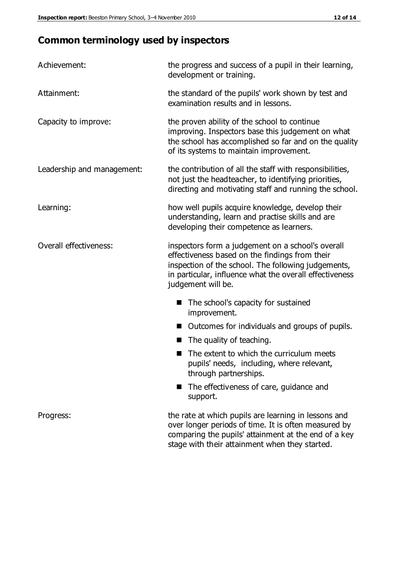# **Common terminology used by inspectors**

| Achievement:                  | the progress and success of a pupil in their learning,<br>development or training.                                                                                                                                                          |  |  |
|-------------------------------|---------------------------------------------------------------------------------------------------------------------------------------------------------------------------------------------------------------------------------------------|--|--|
| Attainment:                   | the standard of the pupils' work shown by test and<br>examination results and in lessons.                                                                                                                                                   |  |  |
| Capacity to improve:          | the proven ability of the school to continue<br>improving. Inspectors base this judgement on what<br>the school has accomplished so far and on the quality<br>of its systems to maintain improvement.                                       |  |  |
| Leadership and management:    | the contribution of all the staff with responsibilities,<br>not just the headteacher, to identifying priorities,<br>directing and motivating staff and running the school.                                                                  |  |  |
| Learning:                     | how well pupils acquire knowledge, develop their<br>understanding, learn and practise skills and are<br>developing their competence as learners.                                                                                            |  |  |
| <b>Overall effectiveness:</b> | inspectors form a judgement on a school's overall<br>effectiveness based on the findings from their<br>inspection of the school. The following judgements,<br>in particular, influence what the overall effectiveness<br>judgement will be. |  |  |
|                               | The school's capacity for sustained<br>improvement.                                                                                                                                                                                         |  |  |
|                               | Outcomes for individuals and groups of pupils.                                                                                                                                                                                              |  |  |
|                               | The quality of teaching.                                                                                                                                                                                                                    |  |  |
|                               | The extent to which the curriculum meets<br>pupils' needs, including, where relevant,<br>through partnerships.                                                                                                                              |  |  |
|                               | The effectiveness of care, guidance and<br>support.                                                                                                                                                                                         |  |  |
| Progress:                     | the rate at which pupils are learning in lessons and<br>over longer periods of time. It is often measured by<br>comparing the pupils' attainment at the end of a key                                                                        |  |  |

stage with their attainment when they started.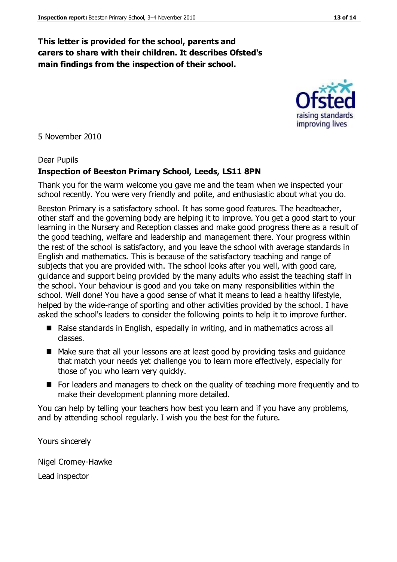#### **This letter is provided for the school, parents and carers to share with their children. It describes Ofsted's main findings from the inspection of their school.**

5 November 2010

#### Dear Pupils

#### **Inspection of Beeston Primary School, Leeds, LS11 8PN**

Thank you for the warm welcome you gave me and the team when we inspected your school recently. You were very friendly and polite, and enthusiastic about what you do.

Beeston Primary is a satisfactory school. It has some good features. The headteacher, other staff and the governing body are helping it to improve. You get a good start to your learning in the Nursery and Reception classes and make good progress there as a result of the good teaching, welfare and leadership and management there. Your progress within the rest of the school is satisfactory, and you leave the school with average standards in English and mathematics. This is because of the satisfactory teaching and range of subjects that you are provided with. The school looks after you well, with good care, guidance and support being provided by the many adults who assist the teaching staff in the school. Your behaviour is good and you take on many responsibilities within the school. Well done! You have a good sense of what it means to lead a healthy lifestyle, helped by the wide-range of sporting and other activities provided by the school. I have asked the school's leaders to consider the following points to help it to improve further.

- Raise standards in English, especially in writing, and in mathematics across all classes.
- Make sure that all your lessons are at least good by providing tasks and guidance that match your needs yet challenge you to learn more effectively, especially for those of you who learn very quickly.
- For leaders and managers to check on the quality of teaching more frequently and to make their development planning more detailed.

You can help by telling your teachers how best you learn and if you have any problems, and by attending school regularly. I wish you the best for the future.

Yours sincerely

Nigel Cromey-Hawke Lead inspector



improving lives